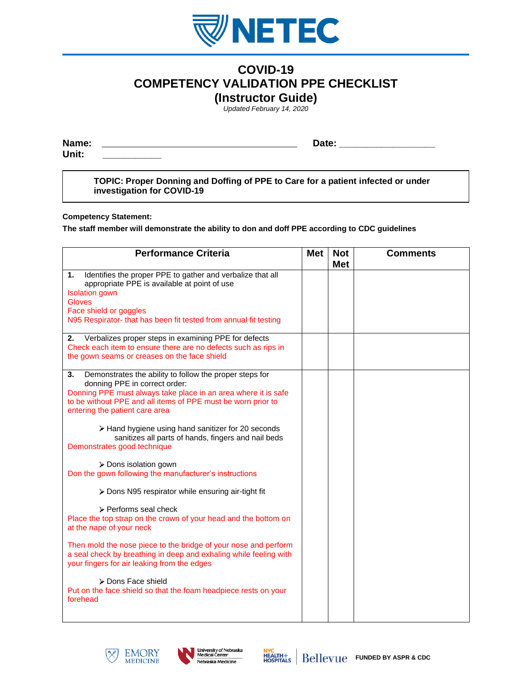

## **COVID-19 COMPETENCY VALIDATION PPE CHECKLIST (Instructor Guide)**

*Updated February 14, 2020*

**Name: Date: \_\_\_\_\_\_\_\_\_\_\_\_\_\_\_\_\_\_**

**Unit: \_\_\_\_\_\_\_\_\_\_\_**

**TOPIC: Proper Donning and Doffing of PPE to Care for a patient infected or under investigation for COVID-19**

## **Competency Statement:**

**The staff member will demonstrate the ability to don and doff PPE according to CDC guidelines**

| <b>Performance Criteria</b>                                                                                                                                                                                                                                          | <b>Met</b> | <b>Not</b><br><b>Met</b> | <b>Comments</b> |
|----------------------------------------------------------------------------------------------------------------------------------------------------------------------------------------------------------------------------------------------------------------------|------------|--------------------------|-----------------|
| $\mathbf{1}$ .<br>Identifies the proper PPE to gather and verbalize that all<br>appropriate PPE is available at point of use<br><b>Isolation</b> gown<br><b>Gloves</b><br>Face shield or goggles<br>N95 Respirator- that has been fit tested from annual fit testing |            |                          |                 |
| Verbalizes proper steps in examining PPE for defects<br>2.<br>Check each item to ensure there are no defects such as rips in<br>the gown seams or creases on the face shield                                                                                         |            |                          |                 |
| 3.<br>Demonstrates the ability to follow the proper steps for<br>donning PPE in correct order:<br>Donning PPE must always take place in an area where it is safe<br>to be without PPE and all items of PPE must be worn prior to<br>entering the patient care area   |            |                          |                 |
| > Hand hygiene using hand sanitizer for 20 seconds<br>sanitizes all parts of hands, fingers and nail beds<br>Demonstrates good technique                                                                                                                             |            |                          |                 |
| > Dons isolation gown<br>Don the gown following the manufacturer's instructions                                                                                                                                                                                      |            |                          |                 |
| > Dons N95 respirator while ensuring air-tight fit                                                                                                                                                                                                                   |            |                          |                 |
| > Performs seal check<br>Place the top strap on the crown of your head and the bottom on<br>at the nape of your neck                                                                                                                                                 |            |                          |                 |
| Then mold the nose piece to the bridge of your nose and perform<br>a seal check by breathing in deep and exhaling while feeling with<br>your fingers for air leaking from the edges                                                                                  |            |                          |                 |
| > Dons Face shield<br>Put on the face shield so that the foam headpiece rests on your<br>forehead                                                                                                                                                                    |            |                          |                 |